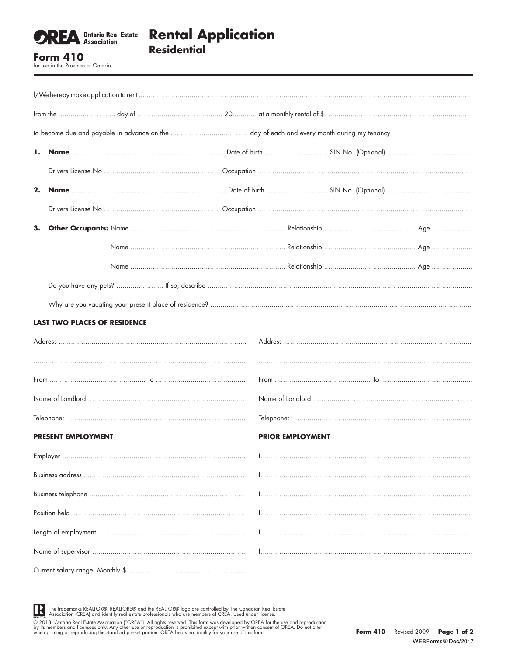

## **Rental Application Residential**

**Form 410** for use in the Province of Ontario

|    | 1.                                  |  |                         |  |  |  |  |
|----|-------------------------------------|--|-------------------------|--|--|--|--|
|    |                                     |  |                         |  |  |  |  |
| 2. |                                     |  |                         |  |  |  |  |
|    |                                     |  |                         |  |  |  |  |
| 3. |                                     |  |                         |  |  |  |  |
|    |                                     |  |                         |  |  |  |  |
|    |                                     |  |                         |  |  |  |  |
|    |                                     |  |                         |  |  |  |  |
|    |                                     |  |                         |  |  |  |  |
|    | <b>LAST TWO PLACES OF RESIDENCE</b> |  |                         |  |  |  |  |
|    |                                     |  |                         |  |  |  |  |
|    |                                     |  |                         |  |  |  |  |
|    |                                     |  |                         |  |  |  |  |
|    |                                     |  |                         |  |  |  |  |
|    |                                     |  |                         |  |  |  |  |
|    | <b>PRESENT EMPLOYMENT</b>           |  | <b>PRIOR EMPLOYMENT</b> |  |  |  |  |
|    |                                     |  |                         |  |  |  |  |
|    |                                     |  |                         |  |  |  |  |
|    |                                     |  |                         |  |  |  |  |
|    |                                     |  |                         |  |  |  |  |
|    |                                     |  |                         |  |  |  |  |
|    |                                     |  |                         |  |  |  |  |
|    |                                     |  |                         |  |  |  |  |

The trademarks REALTOR®, REALTORS® and the REALTOR® logo are controlled by The Canadian Real Estate<br>REALTOR: Association (CREA) and identify real estate professionals who are members of CREA. Used under license

FEALTON: A CONTROL CONDUCTED IN THE SECTION OF THE SECTION OF THE SECTION OF THE SECTION OF THE SECTION OF THE SAME ASSOCIATION ("OREA"). All rights reserved. This form was developed by OREA for the use and reproduction by